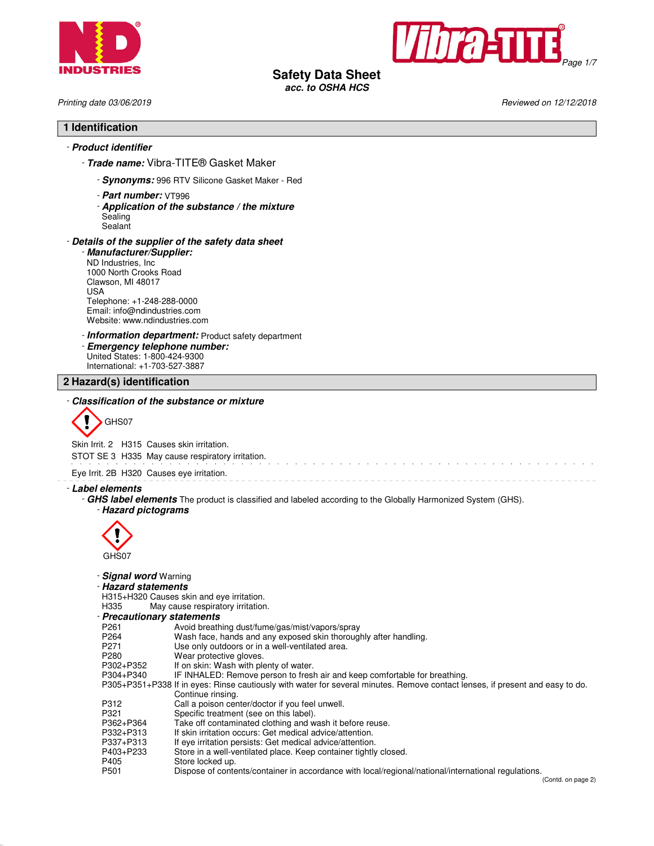



**Safety Data Sheet**

**acc. to OSHA HCS**

Printing date 03/06/2019 **Reviewed on 12/12/2018** Reviewed on 12/12/2018

and the service of the service of the

# **1 Identification**

# - **Product identifier**

- **Trade name:** Vibra-TITE® Gasket Maker

- **Synonyms:** 996 RTV Silicone Gasket Maker Red
- **Part number:** VT996
- **Application of the substance / the mixture**
- Sealing **Sealant**

#### - **Details of the supplier of the safety data sheet**

- **Manufacturer/Supplier:** ND Industries, Inc 1000 North Crooks Road Clawson, MI 48017 USA Telephone: +1-248-288-0000 Email: info@ndindustries.com Website: www.ndindustries.com

- **Information department:** Product safety department

- **Emergency telephone number:** United States: 1-800-424-9300 International: +1-703-527-3887

**2 Hazard(s) identification**

# - **Classification of the substance or mixture**



Skin Irrit. 2 H315 Causes skin irritation.

STOT SE 3 H335 May cause respiratory irritation.

Eye Irrit. 2B H320 Causes eye irritation.

- **Label elements**

- **GHS label elements** The product is classified and labeled according to the Globally Harmonized System (GHS). - **Hazard pictograms**



# - **Signal word** Warning

# - **Hazard statements**

H315+H320 Causes skin and eye irritation.<br>H335 May cause respiratory irritation

May cause respiratory irritation.

- **Precautionary statements**

| Avoid breathing dust/fume/gas/mist/vapors/spray                                                                               |
|-------------------------------------------------------------------------------------------------------------------------------|
| Wash face, hands and any exposed skin thoroughly after handling.                                                              |
| Use only outdoors or in a well-ventilated area.                                                                               |
| Wear protective gloves.                                                                                                       |
| If on skin: Wash with plenty of water.                                                                                        |
| IF INHALED: Remove person to fresh air and keep comfortable for breathing.                                                    |
| P305+P351+P338 If in eyes: Rinse cautiously with water for several minutes. Remove contact lenses, if present and easy to do. |
| Continue rinsing.                                                                                                             |
| Call a poison center/doctor if you feel unwell.                                                                               |
| Specific treatment (see on this label).                                                                                       |
| Take off contaminated clothing and wash it before reuse.                                                                      |
| If skin irritation occurs: Get medical advice/attention.                                                                      |
| If eye irritation persists: Get medical advice/attention.                                                                     |
| Store in a well-ventilated place. Keep container tightly closed.                                                              |
| Store locked up.                                                                                                              |
| Dispose of contents/container in accordance with local/regional/national/international regulations.                           |
|                                                                                                                               |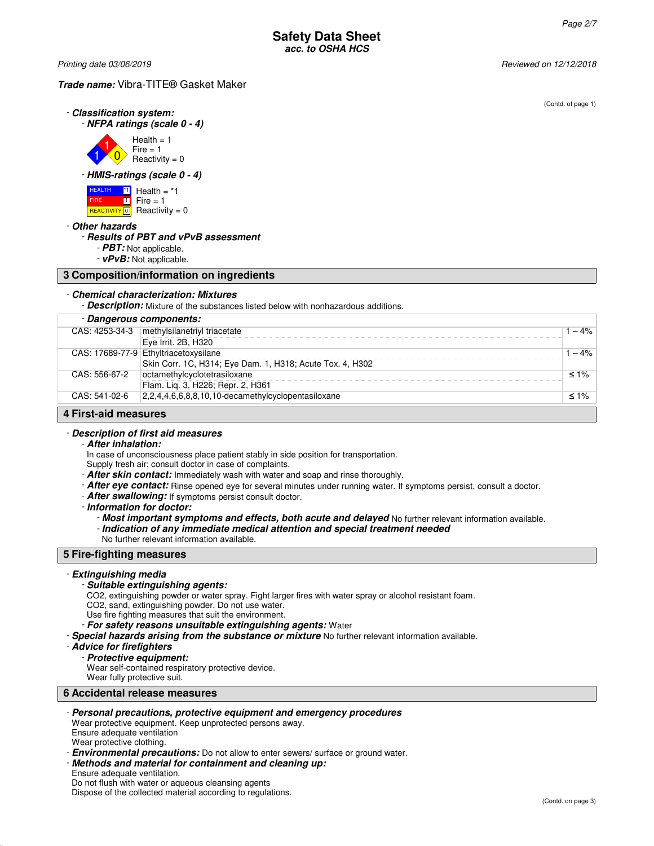Printing date 03/06/2019 Reviewed on 12/12/2018

#### **Trade name:** Vibra-TITE® Gasket Maker

(Contd. of page 1)

| - Classification system:     |
|------------------------------|
| - NFPA ratings (scale 0 - 4) |



# - **HMIS-ratings (scale 0 - 4)**



#### - **Other hazards**

#### - **Results of PBT and vPvB assessment**

- **PBT:** Not applicable.

- **vPvB:** Not applicable.

#### **3 Composition/information on ingredients**

#### - **Chemical characterization: Mixtures**

- **Description:** Mixture of the substances listed below with nonhazardous additions.

|                      | - Dangerous components:                                   |            |
|----------------------|-----------------------------------------------------------|------------|
| CAS: 4253-34-3       | methylsilanetriyl triacetate                              | $-4%$      |
|                      | Eye Irrit. 2B, H320                                       |            |
|                      | CAS: 17689-77-9 Ethyltriacetoxysilane                     | $-4%$      |
|                      | Skin Corr. 1C, H314; Eye Dam. 1, H318; Acute Tox. 4, H302 |            |
| CAS: 556-67-2        | octamethylcyclotetrasiloxane                              | $\leq 1\%$ |
|                      | Flam. Liq. 3, H226; Repr. 2, H361                         |            |
| CAS: 541-02-6        | 2,2,4,4,6,6,8,8,10,10-decamethylcyclopentasiloxane        | $\leq 1\%$ |
| 4 First-aid measures |                                                           |            |

# - **Description of first aid measures**

#### - **After inhalation:**

In case of unconsciousness place patient stably in side position for transportation.

Supply fresh air; consult doctor in case of complaints.

- **After skin contact:** Immediately wash with water and soap and rinse thoroughly.
- **After eye contact:** Rinse opened eye for several minutes under running water. If symptoms persist, consult a doctor.
- **After swallowing:** If symptoms persist consult doctor.
- **Information for doctor:**
	- **Most important symptoms and effects, both acute and delayed** No further relevant information available. - **Indication of any immediate medical attention and special treatment needed**
	- No further relevant information available.

# **5 Fire-fighting measures**

#### - **Extinguishing media**

#### - **Suitable extinguishing agents:**

CO2, extinguishing powder or water spray. Fight larger fires with water spray or alcohol resistant foam.

- CO2, sand, extinguishing powder. Do not use water.
- Use fire fighting measures that suit the environment.

- **For safety reasons unsuitable extinguishing agents:** Water

- **Special hazards arising from the substance or mixture** No further relevant information available.

#### - **Advice for firefighters**

- **Protective equipment:**

Wear self-contained respiratory protective device.

Wear fully protective suit.

**6 Accidental release measures**

# - **Personal precautions, protective equipment and emergency procedures**

Wear protective equipment. Keep unprotected persons away. Ensure adequate ventilation Wear protective clothing.

- **Environmental precautions:** Do not allow to enter sewers/ surface or ground water.

# - **Methods and material for containment and cleaning up:**

Ensure adequate ventilation. Do not flush with water or aqueous cleansing agents Dispose of the collected material according to regulations.

(Contd. on page 3)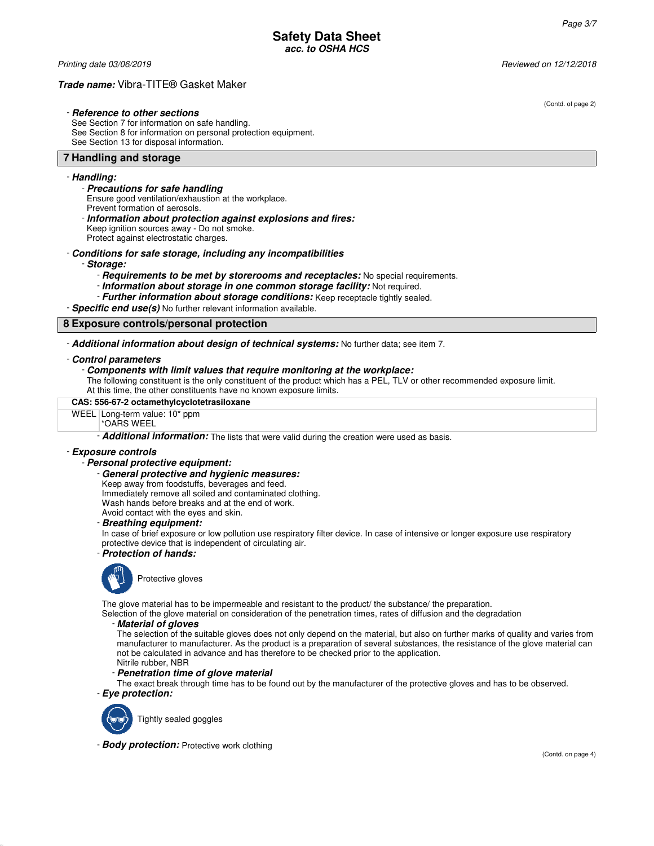Printing date 03/06/2019 Reviewed on 12/12/2018

# **Trade name:** Vibra-TITE® Gasket Maker

### - **Reference to other sections**

See Section 7 for information on safe handling. See Section 8 for information on personal protection equipment. See Section 13 for disposal information.

#### **7 Handling and storage**

#### - **Handling:**

#### - **Precautions for safe handling**

Ensure good ventilation/exhaustion at the workplace.

Prevent formation of aerosols.

- **Information about protection against explosions and fires:**

Keep ignition sources away - Do not smoke.

Protect against electrostatic charges.

# - **Conditions for safe storage, including any incompatibilities**

- **Storage:**

- **Requirements to be met by storerooms and receptacles:** No special requirements.
- **Information about storage in one common storage facility:** Not required.
- **Further information about storage conditions:** Keep receptacle tightly sealed.

- **Specific end use(s)** No further relevant information available.

# **8 Exposure controls/personal protection**

- **Additional information about design of technical systems:** No further data; see item 7.

#### - **Control parameters**

#### - **Components with limit values that require monitoring at the workplace:**

The following constituent is the only constituent of the product which has a PEL, TLV or other recommended exposure limit. At this time, the other constituents have no known exposure limits.

**CAS: 556-67-2 octamethylcyclotetrasiloxane**

# WEEL Long-term value: 10\* ppm

# \*OARS WEEL

- **Additional information:** The lists that were valid during the creation were used as basis.

#### - **Exposure controls**

#### - **Personal protective equipment:**

# - **General protective and hygienic measures:**

Keep away from foodstuffs, beverages and feed.

Immediately remove all soiled and contaminated clothing.

Wash hands before breaks and at the end of work.

Avoid contact with the eyes and skin.

#### - **Breathing equipment:**

In case of brief exposure or low pollution use respiratory filter device. In case of intensive or longer exposure use respiratory protective device that is independent of circulating air.

#### - **Protection of hands:**



The glove material has to be impermeable and resistant to the product/ the substance/ the preparation.

Selection of the glove material on consideration of the penetration times, rates of diffusion and the degradation

#### - **Material of gloves**

The selection of the suitable gloves does not only depend on the material, but also on further marks of quality and varies from manufacturer to manufacturer. As the product is a preparation of several substances, the resistance of the glove material can not be calculated in advance and has therefore to be checked prior to the application. Nitrile rubber, NBR

# - **Penetration time of glove material**

The exact break through time has to be found out by the manufacturer of the protective gloves and has to be observed.

- **Eye protection:**



Tightly sealed goggles

- **Body protection:** Protective work clothing

(Contd. of page 2)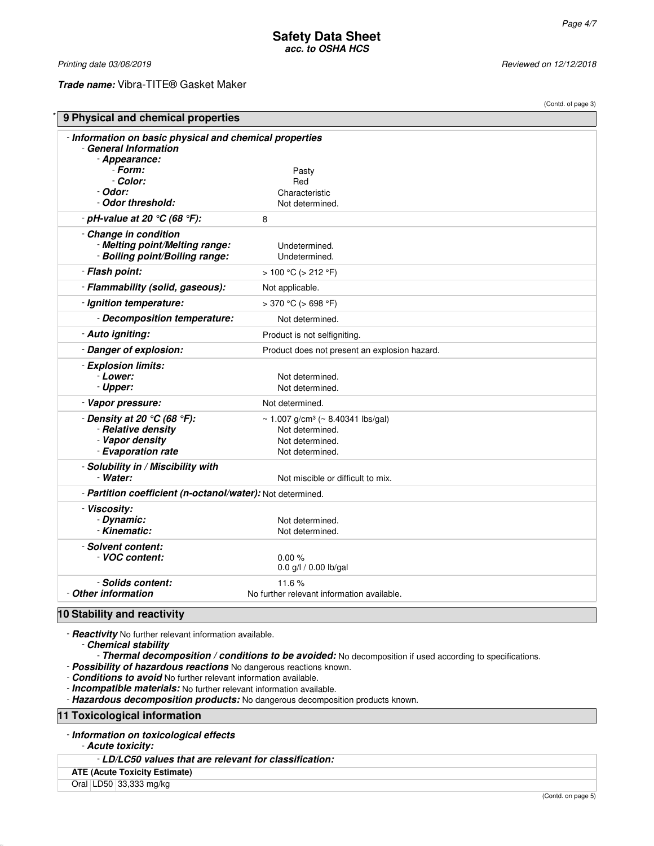(Contd. of page 3)

Printing date 03/06/2019 **Reviewed on 12/12/2018** Reviewed on 12/12/2018

**Trade name:** Vibra-TITE® Gasket Maker

| 9 Physical and chemical properties                                                                |                                               |  |
|---------------------------------------------------------------------------------------------------|-----------------------------------------------|--|
| - Information on basic physical and chemical properties<br>- General Information<br>- Appearance: |                                               |  |
| - Form:                                                                                           |                                               |  |
| - Color:                                                                                          | Pasty<br>Red                                  |  |
| - Odor:                                                                                           | Characteristic                                |  |
| - Odor threshold:                                                                                 | Not determined.                               |  |
| - pH-value at 20 $°C$ (68 $°F$ ):                                                                 | 8                                             |  |
| - Change in condition                                                                             |                                               |  |
| - Melting point/Melting range:                                                                    | Undetermined.                                 |  |
| - Boiling point/Boiling range:                                                                    | Undetermined.                                 |  |
| - Flash point:                                                                                    | $> 100 °C$ ( $> 212 °F$ )                     |  |
| - Flammability (solid, gaseous):                                                                  | Not applicable.                               |  |
| - Ignition temperature:                                                                           | $>370$ °C ( $>698$ °F)                        |  |
| - Decomposition temperature:                                                                      | Not determined.                               |  |
| - Auto igniting:                                                                                  | Product is not selfigniting.                  |  |
| - Danger of explosion:                                                                            | Product does not present an explosion hazard. |  |
| - Explosion limits:                                                                               |                                               |  |
| - Lower:                                                                                          | Not determined.                               |  |
| - Upper:                                                                                          | Not determined.                               |  |
| - Vapor pressure:                                                                                 | Not determined.                               |  |
| - Density at 20 $°C$ (68 $°F$ ):                                                                  | ~ 1.007 g/cm <sup>3</sup> (~ 8.40341 lbs/gal) |  |
| - Relative density                                                                                | Not determined.                               |  |
| - Vapor density                                                                                   | Not determined.                               |  |
| - Evaporation rate                                                                                | Not determined.                               |  |
| - Solubility in / Miscibility with                                                                |                                               |  |
| - Water:                                                                                          | Not miscible or difficult to mix.             |  |
| - Partition coefficient (n-octanol/water): Not determined.                                        |                                               |  |
| - Viscosity:                                                                                      |                                               |  |
| - Dynamic:                                                                                        | Not determined.                               |  |
| - Kinematic:                                                                                      | Not determined.                               |  |
| - Solvent content:                                                                                |                                               |  |
| VOC content:                                                                                      | 0.00%                                         |  |
|                                                                                                   | 0.0 g/l / 0.00 lb/gal                         |  |
| - Solids content:                                                                                 | 11.6%                                         |  |
| - Other information                                                                               | No further relevant information available.    |  |

- **Reactivity** No further relevant information available.

- **Chemical stability**

- **Thermal decomposition / conditions to be avoided:** No decomposition if used according to specifications.

- **Possibility of hazardous reactions** No dangerous reactions known.

- **Conditions to avoid** No further relevant information available.

- **Incompatible materials:** No further relevant information available.

- **Hazardous decomposition products:** No dangerous decomposition products known.

**11 Toxicological information**

- **Information on toxicological effects**

- **Acute toxicity:**

- **LD/LC50 values that are relevant for classification:**

**ATE (Acute Toxicity Estimate)**

Oral LD50 33,333 mg/kg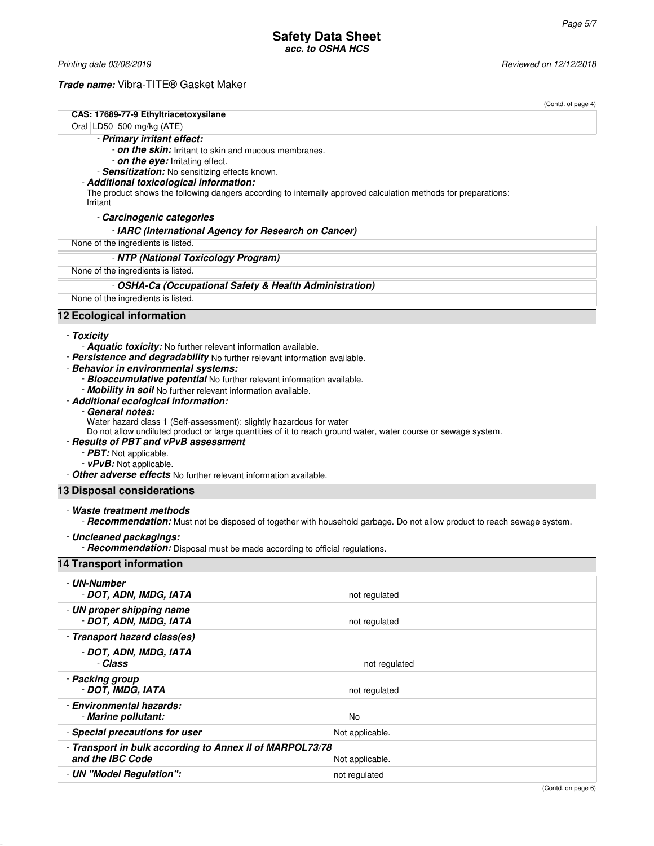Printing date 03/06/2019 **Reviewed on 12/12/2018** 

**Trade name:** Vibra-TITE® Gasket Maker

- **Transport in bulk according to Annex II of MARPOL73/78**

**and the IBC Code** Not applicable. - **UN "Model Regulation":** Not regulated

|                                                                                                                    | (Contd. of page 4)                                                                                                      |
|--------------------------------------------------------------------------------------------------------------------|-------------------------------------------------------------------------------------------------------------------------|
| CAS: 17689-77-9 Ethyltriacetoxysilane                                                                              |                                                                                                                         |
| Oral LD50 500 mg/kg (ATE)                                                                                          |                                                                                                                         |
| - Primary irritant effect:                                                                                         |                                                                                                                         |
| - on the skin: Irritant to skin and mucous membranes.<br>- on the eye: Irritating effect.                          |                                                                                                                         |
| - Sensitization: No sensitizing effects known.                                                                     |                                                                                                                         |
| - Additional toxicological information:                                                                            |                                                                                                                         |
| Irritant                                                                                                           | The product shows the following dangers according to internally approved calculation methods for preparations:          |
| - Carcinogenic categories                                                                                          |                                                                                                                         |
| - IARC (International Agency for Research on Cancer)                                                               |                                                                                                                         |
| None of the ingredients is listed.                                                                                 |                                                                                                                         |
| - NTP (National Toxicology Program)                                                                                |                                                                                                                         |
| None of the ingredients is listed.                                                                                 |                                                                                                                         |
|                                                                                                                    | - OSHA-Ca (Occupational Safety & Health Administration)                                                                 |
| None of the ingredients is listed.                                                                                 |                                                                                                                         |
| 12 Ecological information                                                                                          |                                                                                                                         |
| - Toxicity                                                                                                         |                                                                                                                         |
| - Aquatic toxicity: No further relevant information available.                                                     |                                                                                                                         |
| - Persistence and degradability No further relevant information available.<br>- Behavior in environmental systems: |                                                                                                                         |
| - Bioaccumulative potential No further relevant information available.                                             |                                                                                                                         |
| - Mobility in soil No further relevant information available.                                                      |                                                                                                                         |
| - Additional ecological information:                                                                               |                                                                                                                         |
| - General notes:                                                                                                   |                                                                                                                         |
| Water hazard class 1 (Self-assessment): slightly hazardous for water                                               | Do not allow undiluted product or large quantities of it to reach ground water, water course or sewage system.          |
| - Results of PBT and vPvB assessment                                                                               |                                                                                                                         |
| - PBT: Not applicable.                                                                                             |                                                                                                                         |
| - vPvB: Not applicable.                                                                                            |                                                                                                                         |
| - Other adverse effects No further relevant information available.                                                 |                                                                                                                         |
| 13 Disposal considerations                                                                                         |                                                                                                                         |
| - Waste treatment methods                                                                                          |                                                                                                                         |
|                                                                                                                    | - Recommendation: Must not be disposed of together with household garbage. Do not allow product to reach sewage system. |
| - Uncleaned packagings:                                                                                            |                                                                                                                         |
| - Recommendation: Disposal must be made according to official regulations.<br>14 Transport information             |                                                                                                                         |
|                                                                                                                    |                                                                                                                         |
| - UN-Number                                                                                                        |                                                                                                                         |
| - DOT, ADN, IMDG, IATA                                                                                             | not regulated                                                                                                           |
| - UN proper shipping name<br>- DOT, ADN, IMDG, IATA                                                                | not regulated                                                                                                           |
| - Transport hazard class(es)                                                                                       |                                                                                                                         |
| - DOT, ADN, IMDG, IATA                                                                                             |                                                                                                                         |
| - Class                                                                                                            | not regulated                                                                                                           |
| - Packing group                                                                                                    |                                                                                                                         |
| - DOT, IMDG, IATA                                                                                                  | not regulated                                                                                                           |
| - Environmental hazards:                                                                                           |                                                                                                                         |
| - Marine pollutant:                                                                                                | No                                                                                                                      |
| - Special precautions for user                                                                                     | Not applicable.                                                                                                         |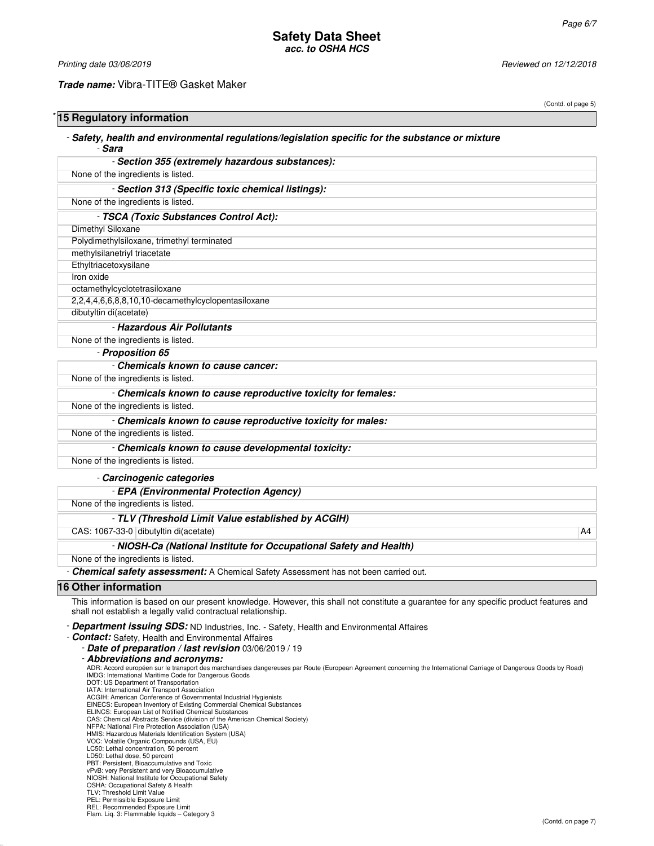Printing date 03/06/2019 **Reviewed on 12/12/2018** Reviewed on 12/12/2018

#### **Trade name:** Vibra-TITE® Gasket Maker

| 15 Regulatory information                                                                                                                                                                                                                                                                                                                                                                                                |    |
|--------------------------------------------------------------------------------------------------------------------------------------------------------------------------------------------------------------------------------------------------------------------------------------------------------------------------------------------------------------------------------------------------------------------------|----|
| - Safety, health and environmental regulations/legislation specific for the substance or mixture<br>- Sara                                                                                                                                                                                                                                                                                                               |    |
| - Section 355 (extremely hazardous substances):                                                                                                                                                                                                                                                                                                                                                                          |    |
| None of the ingredients is listed.                                                                                                                                                                                                                                                                                                                                                                                       |    |
| - Section 313 (Specific toxic chemical listings):                                                                                                                                                                                                                                                                                                                                                                        |    |
| None of the ingredients is listed.                                                                                                                                                                                                                                                                                                                                                                                       |    |
| - TSCA (Toxic Substances Control Act):                                                                                                                                                                                                                                                                                                                                                                                   |    |
| Dimethyl Siloxane                                                                                                                                                                                                                                                                                                                                                                                                        |    |
| Polydimethylsiloxane, trimethyl terminated                                                                                                                                                                                                                                                                                                                                                                               |    |
| methylsilanetriyl triacetate                                                                                                                                                                                                                                                                                                                                                                                             |    |
| Ethyltriacetoxysilane                                                                                                                                                                                                                                                                                                                                                                                                    |    |
| Iron oxide                                                                                                                                                                                                                                                                                                                                                                                                               |    |
| octamethylcyclotetrasiloxane                                                                                                                                                                                                                                                                                                                                                                                             |    |
| 2,2,4,4,6,6,8,8,10,10-decamethylcyclopentasiloxane                                                                                                                                                                                                                                                                                                                                                                       |    |
| dibutyltin di(acetate)                                                                                                                                                                                                                                                                                                                                                                                                   |    |
| - Hazardous Air Pollutants                                                                                                                                                                                                                                                                                                                                                                                               |    |
| None of the ingredients is listed.                                                                                                                                                                                                                                                                                                                                                                                       |    |
| - Proposition 65                                                                                                                                                                                                                                                                                                                                                                                                         |    |
| - Chemicals known to cause cancer:                                                                                                                                                                                                                                                                                                                                                                                       |    |
| None of the ingredients is listed.                                                                                                                                                                                                                                                                                                                                                                                       |    |
| - Chemicals known to cause reproductive toxicity for females:                                                                                                                                                                                                                                                                                                                                                            |    |
| None of the ingredients is listed.                                                                                                                                                                                                                                                                                                                                                                                       |    |
| - Chemicals known to cause reproductive toxicity for males:                                                                                                                                                                                                                                                                                                                                                              |    |
| None of the ingredients is listed.                                                                                                                                                                                                                                                                                                                                                                                       |    |
| - Chemicals known to cause developmental toxicity:                                                                                                                                                                                                                                                                                                                                                                       |    |
| None of the ingredients is listed.                                                                                                                                                                                                                                                                                                                                                                                       |    |
| - Carcinogenic categories                                                                                                                                                                                                                                                                                                                                                                                                |    |
| - EPA (Environmental Protection Agency)                                                                                                                                                                                                                                                                                                                                                                                  |    |
| None of the ingredients is listed.                                                                                                                                                                                                                                                                                                                                                                                       |    |
| - TLV (Threshold Limit Value established by ACGIH)                                                                                                                                                                                                                                                                                                                                                                       |    |
| CAS: 1067-33-0 dibutyltin di(acetate)                                                                                                                                                                                                                                                                                                                                                                                    | A4 |
| - NIOSH-Ca (National Institute for Occupational Safety and Health)                                                                                                                                                                                                                                                                                                                                                       |    |
| None of the ingredients is listed.                                                                                                                                                                                                                                                                                                                                                                                       |    |
| - Chemical safety assessment: A Chemical Safety Assessment has not been carried out.                                                                                                                                                                                                                                                                                                                                     |    |
| 16 Other information                                                                                                                                                                                                                                                                                                                                                                                                     |    |
| This information is based on our present knowledge. However, this shall not constitute a guarantee for any specific product features and<br>shall not establish a legally valid contractual relationship.                                                                                                                                                                                                                |    |
| - Department issuing SDS: ND Industries, Inc. - Safety, Health and Environmental Affaires<br>- <b>Contact:</b> Safety, Health and Environmental Affaires<br>- Date of preparation / last revision 03/06/2019 / 19<br>- Abbreviations and acronyms:<br>ADR: Accord européen sur le transport des marchandises dangereuses par Route (European Agreement concerning the International Carriage of Dangerous Goods by Road) |    |

ADR: Accord européen sur le transport des marchandises dangereuses par Route (European Agreement concerning the International Carriage of Dangerous Goods by Road)<br>IMDG: International Maritime Code for Dangerous Goods<br>DOT:

EINECS: European Inventory of Existing Commercial Chemical Substances<br>ELINCS: European List of Notified Chemical Substances<br>CAS: Chemical Abstracts Service (division of the American Chemical Society)<br>NFPA: National Fire Pr

PBT: Persistent, Bioaccumulative and Toxic<br>vPvB: very Persistent and very Bioaccumulative<br>NIOSH: National Institute for Occupational Safety<br>OSHA: Occupational Safety & Health<br>TLV: Threshold Limit Value<br>PEL: Permissible Exp